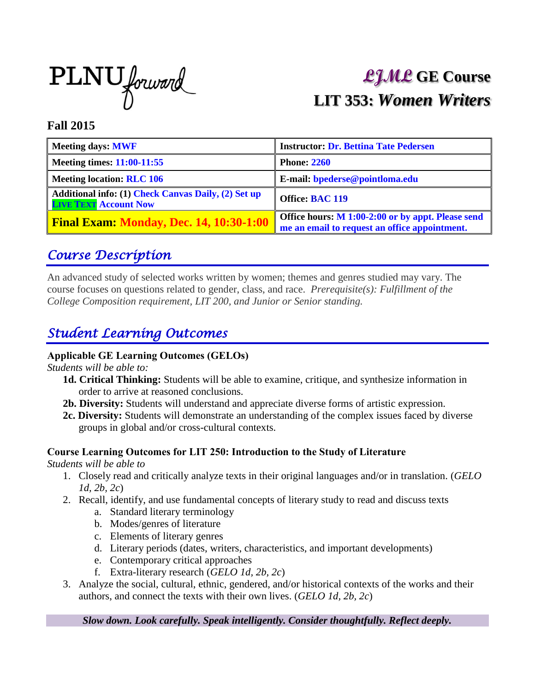

# **LJML GE Course LIT 353:** *Women Writers*

#### **Fall 2015**

| <b>Meeting days: MWF</b>                                                            | <b>Instructor: Dr. Bettina Tate Pedersen</b>                                                       |
|-------------------------------------------------------------------------------------|----------------------------------------------------------------------------------------------------|
| <b>Meeting times: 11:00-11:55</b>                                                   | <b>Phone: 2260</b>                                                                                 |
| <b>Meeting location: RLC 106</b>                                                    | E-mail: bpederse@pointloma.edu                                                                     |
| Additional info: (1) Check Canvas Daily, (2) Set up<br><b>LIVE TEXT Account Now</b> | <b>Office: BAC 119</b>                                                                             |
| <b>Final Exam: Monday, Dec. 14, 10:30-1:00</b>                                      | Office hours: M 1:00-2:00 or by appt. Please send<br>me an email to request an office appointment. |

#### *Course Description*

An advanced study of selected works written by women; themes and genres studied may vary. The course focuses on questions related to gender, class, and race. *Prerequisite(s): Fulfillment of the College Composition requirement, LIT 200, and Junior or Senior standing.*

### *Student Learning Outcomes*

#### **Applicable GE Learning Outcomes (GELOs)**

*Students will be able to:* 

- **1d. Critical Thinking:** Students will be able to examine, critique, and synthesize information in order to arrive at reasoned conclusions.
- **2b. Diversity:** Students will understand and appreciate diverse forms of artistic expression.
- **2c. Diversity:** Students will demonstrate an understanding of the complex issues faced by diverse groups in global and/or cross-cultural contexts.

#### **Course Learning Outcomes for LIT 250: Introduction to the Study of Literature**

*Students will be able to*

- 1. Closely read and critically analyze texts in their original languages and/or in translation. (*GELO 1d, 2b, 2c*)
- 2. Recall, identify, and use fundamental concepts of literary study to read and discuss texts
	- a. Standard literary terminology
	- b. Modes/genres of literature
	- c. Elements of literary genres
	- d. Literary periods (dates, writers, characteristics, and important developments)
	- e. Contemporary critical approaches
	- f. Extra-literary research (*GELO 1d, 2b, 2c*)
- 3. Analyze the social, cultural, ethnic, gendered, and/or historical contexts of the works and their authors, and connect the texts with their own lives. (*GELO 1d, 2b, 2c*)

*Slow down. Look carefully. Speak intelligently. Consider thoughtfully. Reflect deeply.*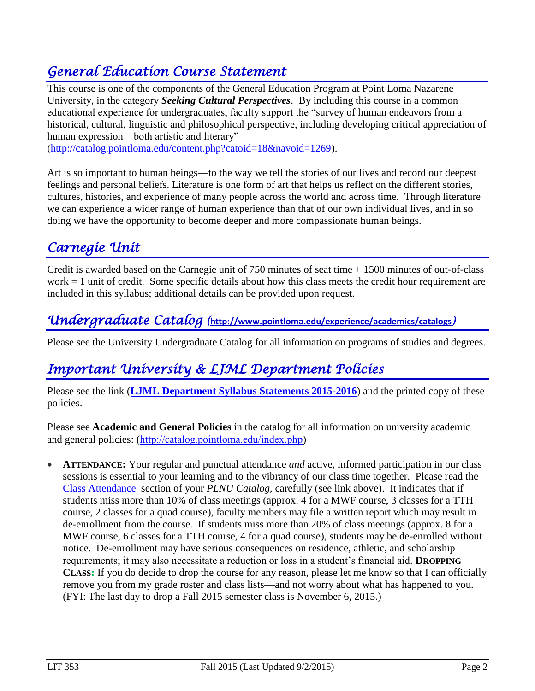### *General Education Course Statement*

This course is one of the components of the General Education Program at Point Loma Nazarene University, in the category *Seeking Cultural Perspectives*. By including this course in a common educational experience for undergraduates, faculty support the "survey of human endeavors from a historical, cultural, linguistic and philosophical perspective, including developing critical appreciation of human expression—both artistic and literary"

[\(http://catalog.pointloma.edu/content.php?catoid=18&navoid=1269\)](http://catalog.pointloma.edu/content.php?catoid=18&navoid=1269).

Art is so important to human beings—to the way we tell the stories of our lives and record our deepest feelings and personal beliefs. Literature is one form of art that helps us reflect on the different stories, cultures, histories, and experience of many people across the world and across time. Through literature we can experience a wider range of human experience than that of our own individual lives, and in so doing we have the opportunity to become deeper and more compassionate human beings.

# *Carnegie Unit*

Credit is awarded based on the Carnegie unit of 750 minutes of seat time + 1500 minutes of out-of-class work  $= 1$  unit of credit. Some specific details about how this class meets the credit hour requirement are included in this syllabus; additional details can be provided upon request.

### *Undergraduate Catalog (***<http://www.pointloma.edu/experience/academics/catalogs>***)*

Please see the University Undergraduate Catalog for all information on programs of studies and degrees.

### *Important University & LJML Department Policies*

Please see the link (**LJML [Department](http://www.pointloma.edu/sites/default/files/filemanager/Literature_Journalism__Modern_Languages/LJML_Department_Syllabus_Statments_final_2015-16.pdf) Syllabus Statements 2015-2016**) and the printed copy of these policies.

Please see **Academic and General Policies** in the catalog for all information on university academic and general policies: (<http://catalog.pointloma.edu/index.php>)

 **ATTENDANCE:** Your regular and punctual attendance *and* active, informed participation in our class sessions is essential to your learning and to the vibrancy of our class time together. Please read the [Class Attendance](http://catalog.pointloma.edu/content.php?catoid=18&navoid=1278#Class_Attendance) section of your *PLNU Catalog,* carefully (see link above). It indicates that if students miss more than 10% of class meetings (approx. 4 for a MWF course, 3 classes for a TTH course, 2 classes for a quad course), faculty members may file a written report which may result in de-enrollment from the course. If students miss more than 20% of class meetings (approx. 8 for a MWF course, 6 classes for a TTH course, 4 for a quad course), students may be de-enrolled without notice. De-enrollment may have serious consequences on residence, athletic, and scholarship requirements; it may also necessitate a reduction or loss in a student's financial aid. **DROPPING CLASS:** If you do decide to drop the course for any reason, please let me know so that I can officially remove you from my grade roster and class lists—and not worry about what has happened to you. (FYI: The last day to drop a Fall 2015 semester class is November 6, 2015.)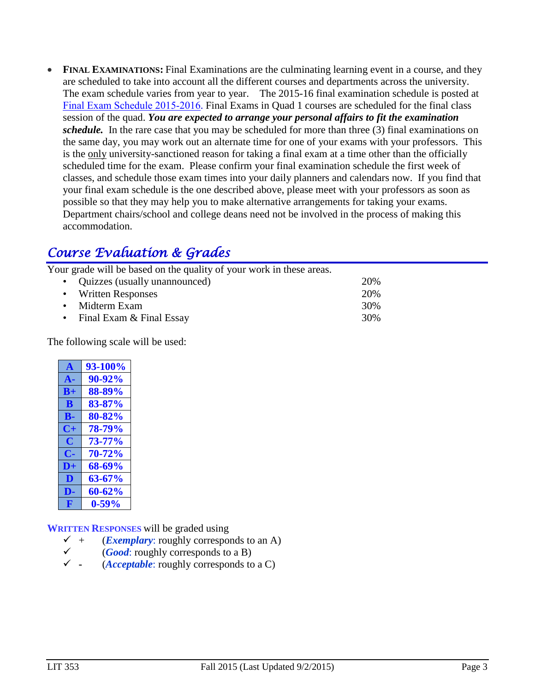• FINAL EXAMINATIONS: Final Examinations are the culminating learning event in a course, and they are scheduled to take into account all the different courses and departments across the university. The exam schedule varies from year to year. The 2015-16 final examination schedule is posted at [Final Exam Schedule 2015-2016](http://www.pointloma.edu/sites/default/files/filemanager/Academic_Affairs/Schedules/Final_Exam_Schedule_2015-2016.pdf). Final Exams in Quad 1 courses are scheduled for the final class session of the quad. *You are expected to arrange your personal affairs to fit the examination schedule.* In the rare case that you may be scheduled for more than three (3) final examinations on the same day, you may work out an alternate time for one of your exams with your professors. This is the only university-sanctioned reason for taking a final exam at a time other than the officially scheduled time for the exam. Please confirm your final examination schedule the first week of classes, and schedule those exam times into your daily planners and calendars now. If you find that your final exam schedule is the one described above, please meet with your professors as soon as possible so that they may help you to make alternative arrangements for taking your exams. Department chairs/school and college deans need not be involved in the process of making this accommodation.

### *Course Evaluation & Grades*

Your grade will be based on the quality of your work in these areas.

| • Quizzes (usually unannounced) | 20% |
|---------------------------------|-----|
| • Written Responses             | 20% |
| • Midterm Exam                  | 30% |
| • Final Exam & Final Essay      | 30% |

The following scale will be used:

| $\mathbf{A}$ | 93-100%    |
|--------------|------------|
| ${\bf A}$ -  | 90-92%     |
| $B+$         | 88-89%     |
| B            | 83-87%     |
| В-           | 80-82%     |
| C+           | 78-79%     |
| C            | $73 - 77%$ |
| С.           | 70-72%     |
| $D+$         | 68-69%     |
| D            | 63-67%     |
| DE.          | $60 - 62%$ |
| F            | $0 - 59%$  |

**WRITTEN RESPONSES** will be graded using

- (*Exemplary*: roughly corresponds to an A)
- (*Good*: roughly corresponds to a B)
- **-** (*Acceptable*: roughly corresponds to a C)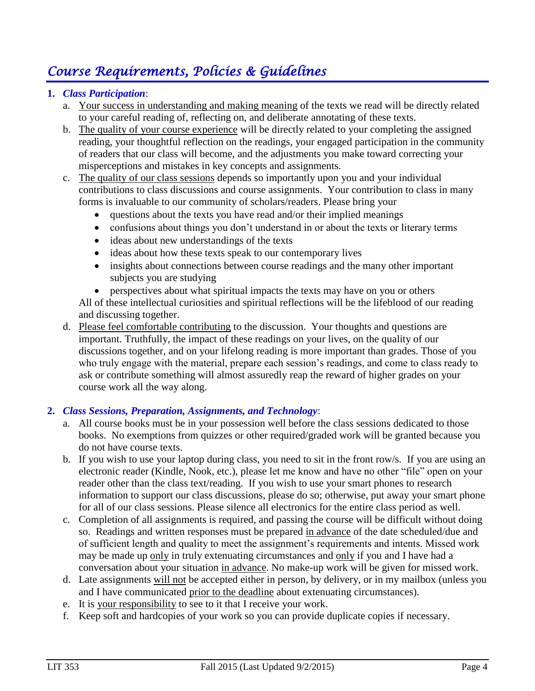# *Course Requirements, Policies & Guidelines*

#### **1.** *Class Participation*:

- a. Your success in understanding and making meaning of the texts we read will be directly related to your careful reading of, reflecting on, and deliberate annotating of these texts.
- b. The quality of your course experience will be directly related to your completing the assigned reading, your thoughtful reflection on the readings, your engaged participation in the community of readers that our class will become, and the adjustments you make toward correcting your misperceptions and mistakes in key concepts and assignments.
- c. The quality of our class sessions depends so importantly upon you and your individual contributions to class discussions and course assignments. Your contribution to class in many forms is invaluable to our community of scholars/readers. Please bring your
	- questions about the texts you have read and/or their implied meanings
	- confusions about things you don't understand in or about the texts or literary terms
	- ideas about new understandings of the texts
	- ideas about how these texts speak to our contemporary lives
	- insights about connections between course readings and the many other important subjects you are studying
	- perspectives about what spiritual impacts the texts may have on you or others

All of these intellectual curiosities and spiritual reflections will be the lifeblood of our reading and discussing together.

d. Please feel comfortable contributing to the discussion. Your thoughts and questions are important. Truthfully, the impact of these readings on your lives, on the quality of our discussions together, and on your lifelong reading is more important than grades. Those of you who truly engage with the material, prepare each session's readings, and come to class ready to ask or contribute something will almost assuredly reap the reward of higher grades on your course work all the way along.

#### **2.** *Class Sessions, Preparation, Assignments, and Technology*:

- a. All course books must be in your possession well before the class sessions dedicated to those books. No exemptions from quizzes or other required/graded work will be granted because you do not have course texts.
- b. If you wish to use your laptop during class, you need to sit in the front row/s. If you are using an electronic reader (Kindle, Nook, etc.), please let me know and have no other "file" open on your reader other than the class text/reading. If you wish to use your smart phones to research information to support our class discussions, please do so; otherwise, put away your smart phone for all of our class sessions. Please silence all electronics for the entire class period as well.
- c. Completion of all assignments is required, and passing the course will be difficult without doing so. Readings and written responses must be prepared in advance of the date scheduled/due and of sufficient length and quality to meet the assignment's requirements and intents. Missed work may be made up only in truly extenuating circumstances and only if you and I have had a conversation about your situation in advance. No make-up work will be given for missed work.
- d. Late assignments will not be accepted either in person, by delivery, or in my mailbox (unless you and I have communicated prior to the deadline about extenuating circumstances).
- e. It is your responsibility to see to it that I receive your work.
- f. Keep soft and hardcopies of your work so you can provide duplicate copies if necessary.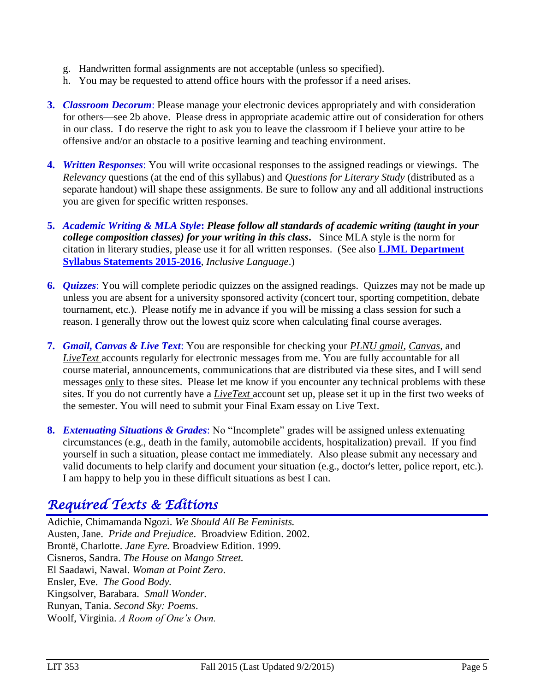- g. Handwritten formal assignments are not acceptable (unless so specified).
- h. You may be requested to attend office hours with the professor if a need arises.
- **3.** *Classroom Decorum*: Please manage your electronic devices appropriately and with consideration for others—see 2b above. Please dress in appropriate academic attire out of consideration for others in our class. I do reserve the right to ask you to leave the classroom if I believe your attire to be offensive and/or an obstacle to a positive learning and teaching environment.
- **4.** *Written Responses*: You will write occasional responses to the assigned readings or viewings. The *Relevancy* questions (at the end of this syllabus) and *Questions for Literary Study* (distributed as a separate handout) will shape these assignments. Be sure to follow any and all additional instructions you are given for specific written responses.
- **5.** *Academic Writing & MLA Style***:** *Please follow all standards of academic writing (taught in your college composition classes) for your writing in this class***.** Since MLA style is the norm for citation in literary studies, please use it for all written responses. (See also **LJML [Department](http://www.pointloma.edu/sites/default/files/filemanager/Literature_Journalism__Modern_Languages/LJML_Department_Syllabus_Statments_final_2015-16.pdf) Syllabus [Statements](http://www.pointloma.edu/sites/default/files/filemanager/Literature_Journalism__Modern_Languages/LJML_Department_Syllabus_Statments_final_2015-16.pdf) 2015-2016**, *Inclusive Language*.)
- **6.** *Quizzes*: You will complete periodic quizzes on the assigned readings. Quizzes may not be made up unless you are absent for a university sponsored activity (concert tour, sporting competition, debate tournament, etc.). Please notify me in advance if you will be missing a class session for such a reason. I generally throw out the lowest quiz score when calculating final course averages.
- **7.** *Gmail, Canvas & Live Text*: You are responsible for checking your *PLNU gmail, Canvas,* and *LiveText* accounts regularly for electronic messages from me. You are fully accountable for all course material, announcements, communications that are distributed via these sites, and I will send messages only to these sites. Please let me know if you encounter any technical problems with these sites. If you do not currently have a *LiveText* account set up, please set it up in the first two weeks of the semester. You will need to submit your Final Exam essay on Live Text.
- **8.** *Extenuating Situations & Grades*: No "Incomplete" grades will be assigned unless extenuating circumstances (e.g., death in the family, automobile accidents, hospitalization) prevail. If you find yourself in such a situation, please contact me immediately. Also please submit any necessary and valid documents to help clarify and document your situation (e.g., doctor's letter, police report, etc.). I am happy to help you in these difficult situations as best I can.

### *Required Texts & Editions*

Adichie, Chimamanda Ngozi. *We Should All Be Feminists.* Austen, Jane. *Pride and Prejudice*. Broadview Edition. 2002. Brontë, Charlotte. *Jane Eyre.* Broadview Edition. 1999. Cisneros, Sandra. *The House on Mango Street.* El Saadawi, Nawal. *Woman at Point Zero*. Ensler, Eve. *The Good Body.* Kingsolver, Barabara. *Small Wonder.* Runyan, Tania. *Second Sky: Poems*. Woolf, Virginia. *A Room of One's Own.*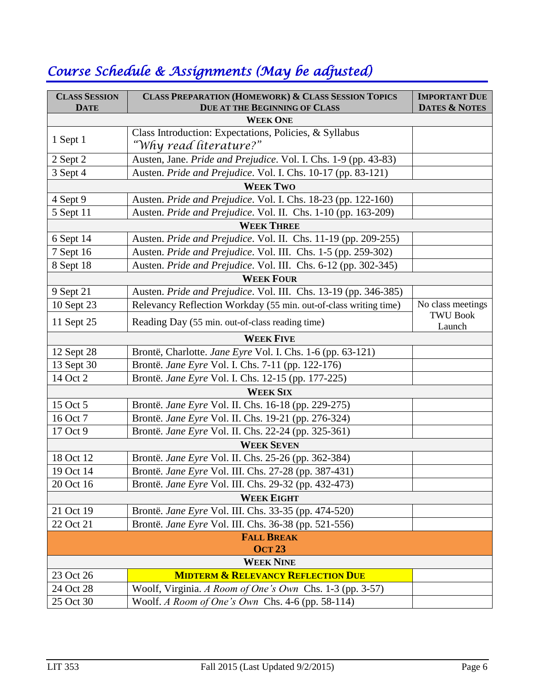| <b>CLASS SESSION</b><br><b>DATE</b> | <b>CLASS PREPARATION (HOMEWORK) &amp; CLASS SESSION TOPICS</b><br><b>DUE AT THE BEGINNING OF CLASS</b> | <b>IMPORTANT DUE</b><br><b>DATES &amp; NOTES</b> |  |  |
|-------------------------------------|--------------------------------------------------------------------------------------------------------|--------------------------------------------------|--|--|
|                                     | <b>WEEK ONE</b>                                                                                        |                                                  |  |  |
|                                     | Class Introduction: Expectations, Policies, & Syllabus                                                 |                                                  |  |  |
| 1 Sept 1                            | "Why read literature?"                                                                                 |                                                  |  |  |
| 2 Sept 2                            | Austen, Jane. Pride and Prejudice. Vol. I. Chs. 1-9 (pp. 43-83)                                        |                                                  |  |  |
| 3 Sept 4                            | Austen. Pride and Prejudice. Vol. I. Chs. 10-17 (pp. 83-121)                                           |                                                  |  |  |
|                                     | <b>WEEK TWO</b>                                                                                        |                                                  |  |  |
| 4 Sept 9                            | Austen. Pride and Prejudice. Vol. I. Chs. 18-23 (pp. 122-160)                                          |                                                  |  |  |
| 5 Sept 11                           | Austen. Pride and Prejudice. Vol. II. Chs. 1-10 (pp. 163-209)                                          |                                                  |  |  |
|                                     | <b>WEEK THREE</b>                                                                                      |                                                  |  |  |
| 6 Sept 14                           | Austen. Pride and Prejudice. Vol. II. Chs. 11-19 (pp. 209-255)                                         |                                                  |  |  |
| 7 Sept 16                           | Austen. Pride and Prejudice. Vol. III. Chs. 1-5 (pp. 259-302)                                          |                                                  |  |  |
| 8 Sept 18                           | Austen. Pride and Prejudice. Vol. III. Chs. 6-12 (pp. 302-345)                                         |                                                  |  |  |
|                                     | <b>WEEK FOUR</b>                                                                                       |                                                  |  |  |
| 9 Sept 21                           | Austen. Pride and Prejudice. Vol. III. Chs. 13-19 (pp. 346-385)                                        |                                                  |  |  |
| 10 Sept 23                          | Relevancy Reflection Workday (55 min. out-of-class writing time)                                       | No class meetings                                |  |  |
| 11 Sept 25                          | Reading Day (55 min. out-of-class reading time)                                                        | <b>TWU Book</b><br>Launch                        |  |  |
|                                     | <b>WEEK FIVE</b>                                                                                       |                                                  |  |  |
| 12 Sept 28                          | Brontë, Charlotte. Jane Eyre Vol. I. Chs. 1-6 (pp. 63-121)                                             |                                                  |  |  |
| 13 Sept 30                          | Brontë. <i>Jane Eyre</i> Vol. I. Chs. 7-11 (pp. 122-176)                                               |                                                  |  |  |
| 14 Oct 2                            | Brontë. Jane Eyre Vol. I. Chs. 12-15 (pp. 177-225)                                                     |                                                  |  |  |
|                                     | <b>WEEK SIX</b>                                                                                        |                                                  |  |  |
| 15 Oct 5                            | Brontë. Jane Eyre Vol. II. Chs. 16-18 (pp. 229-275)                                                    |                                                  |  |  |
| 16 Oct 7                            | Brontë. Jane Eyre Vol. II. Chs. 19-21 (pp. 276-324)                                                    |                                                  |  |  |
| 17 Oct 9                            | Brontë. Jane Eyre Vol. II. Chs. 22-24 (pp. 325-361)                                                    |                                                  |  |  |
|                                     | <b>WEEK SEVEN</b>                                                                                      |                                                  |  |  |
| 18 Oct 12                           | Brontë. Jane Eyre Vol. II. Chs. 25-26 (pp. 362-384)                                                    |                                                  |  |  |
| 19 Oct 14                           | Brontë. Jane Eyre Vol. III. Chs. 27-28 (pp. 387-431)                                                   |                                                  |  |  |
| 20 Oct 16                           | Brontë. Jane Eyre Vol. III. Chs. 29-32 (pp. 432-473)                                                   |                                                  |  |  |
| <b>WEEK EIGHT</b>                   |                                                                                                        |                                                  |  |  |
| 21 Oct 19                           | Brontë. Jane Eyre Vol. III. Chs. 33-35 (pp. 474-520)                                                   |                                                  |  |  |
| 22 Oct 21                           | Brontë. Jane Eyre Vol. III. Chs. 36-38 (pp. 521-556)                                                   |                                                  |  |  |
| <b>FALL BREAK</b>                   |                                                                                                        |                                                  |  |  |
| <b>OCT 23</b>                       |                                                                                                        |                                                  |  |  |
| <b>WEEK NINE</b>                    |                                                                                                        |                                                  |  |  |
| 23 Oct 26                           | <b>MIDTERM &amp; RELEVANCY REFLECTION DUE</b>                                                          |                                                  |  |  |
| 24 Oct 28                           | Woolf, Virginia. A Room of One's Own Chs. 1-3 (pp. 3-57)                                               |                                                  |  |  |
| 25 Oct 30                           | Woolf. A Room of One's Own Chs. 4-6 (pp. 58-114)                                                       |                                                  |  |  |

# *Course Schedule & Assignments (May be adjusted)*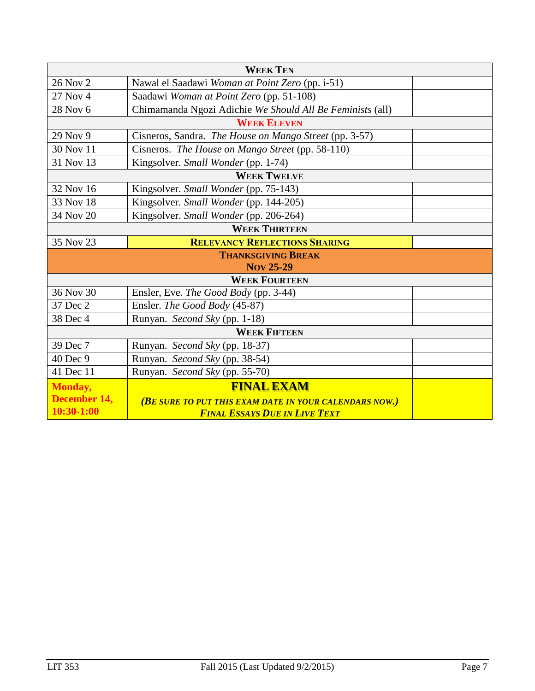| <b>WEEK TEN</b>           |                                                           |  |  |  |
|---------------------------|-----------------------------------------------------------|--|--|--|
| 26 Nov 2                  | Nawal el Saadawi Woman at Point Zero (pp. i-51)           |  |  |  |
| 27 Nov 4                  | Saadawi Woman at Point Zero (pp. 51-108)                  |  |  |  |
| 28 Nov 6                  | Chimamanda Ngozi Adichie We Should All Be Feminists (all) |  |  |  |
|                           | <b>WEEK ELEVEN</b>                                        |  |  |  |
| 29 Nov 9                  | Cisneros, Sandra. The House on Mango Street (pp. 3-57)    |  |  |  |
| 30 Nov 11                 | Cisneros. The House on Mango Street (pp. 58-110)          |  |  |  |
| 31 Nov 13                 | Kingsolver. Small Wonder (pp. 1-74)                       |  |  |  |
| <b>WEEK TWELVE</b>        |                                                           |  |  |  |
| 32 Nov 16                 | Kingsolver. Small Wonder (pp. 75-143)                     |  |  |  |
| 33 Nov 18                 | Kingsolver. Small Wonder (pp. 144-205)                    |  |  |  |
| 34 Nov 20                 | Kingsolver. Small Wonder (pp. 206-264)                    |  |  |  |
|                           | <b>WEEK THIRTEEN</b>                                      |  |  |  |
| 35 Nov 23                 | <b>RELEVANCY REFLECTIONS SHARING</b>                      |  |  |  |
| <b>THANKSGIVING BREAK</b> |                                                           |  |  |  |
| <b>Nov 25-29</b>          |                                                           |  |  |  |
|                           | <b>WEEK FOURTEEN</b>                                      |  |  |  |
| 36 Nov 30                 | Ensler, Eve. The Good Body (pp. 3-44)                     |  |  |  |
| 37 Dec 2                  | Ensler. The Good Body (45-87)                             |  |  |  |
| 38 Dec 4                  | Runyan. Second Sky (pp. 1-18)                             |  |  |  |
| <b>WEEK FIFTEEN</b>       |                                                           |  |  |  |
| 39 Dec 7                  | Runyan. Second Sky (pp. 18-37)                            |  |  |  |
| 40 Dec 9                  | Runyan. Second Sky (pp. 38-54)                            |  |  |  |
| 41 Dec 11                 | Runyan. Second Sky (pp. 55-70)                            |  |  |  |
| <b>Monday,</b>            | <b>FINAL EXAM</b>                                         |  |  |  |
| December 14,              | (BE SURE TO PUT THIS EXAM DATE IN YOUR CALENDARS NOW.)    |  |  |  |
| 10:30-1:00                | <b>FINAL ESSAYS DUE IN LIVE TEXT</b>                      |  |  |  |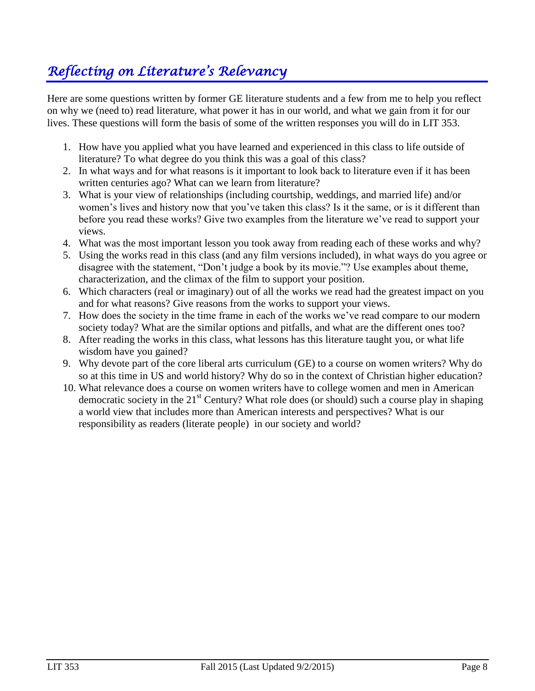# *Reflecting on Literature's Relevancy*

Here are some questions written by former GE literature students and a few from me to help you reflect on why we (need to) read literature, what power it has in our world, and what we gain from it for our lives. These questions will form the basis of some of the written responses you will do in LIT 353.

- 1. How have you applied what you have learned and experienced in this class to life outside of literature? To what degree do you think this was a goal of this class?
- 2. In what ways and for what reasons is it important to look back to literature even if it has been written centuries ago? What can we learn from literature?
- 3. What is your view of relationships (including courtship, weddings, and married life) and/or women's lives and history now that you've taken this class? Is it the same, or is it different than before you read these works? Give two examples from the literature we've read to support your views.
- 4. What was the most important lesson you took away from reading each of these works and why?
- 5. Using the works read in this class (and any film versions included), in what ways do you agree or disagree with the statement, "Don't judge a book by its movie."? Use examples about theme, characterization, and the climax of the film to support your position.
- 6. Which characters (real or imaginary) out of all the works we read had the greatest impact on you and for what reasons? Give reasons from the works to support your views.
- 7. How does the society in the time frame in each of the works we've read compare to our modern society today? What are the similar options and pitfalls, and what are the different ones too?
- 8. After reading the works in this class, what lessons has this literature taught you, or what life wisdom have you gained?
- 9. Why devote part of the core liberal arts curriculum (GE) to a course on women writers? Why do so at this time in US and world history? Why do so in the context of Christian higher education?
- 10. What relevance does a course on women writers have to college women and men in American democratic society in the  $21<sup>st</sup>$  Century? What role does (or should) such a course play in shaping a world view that includes more than American interests and perspectives? What is our responsibility as readers (literate people) in our society and world?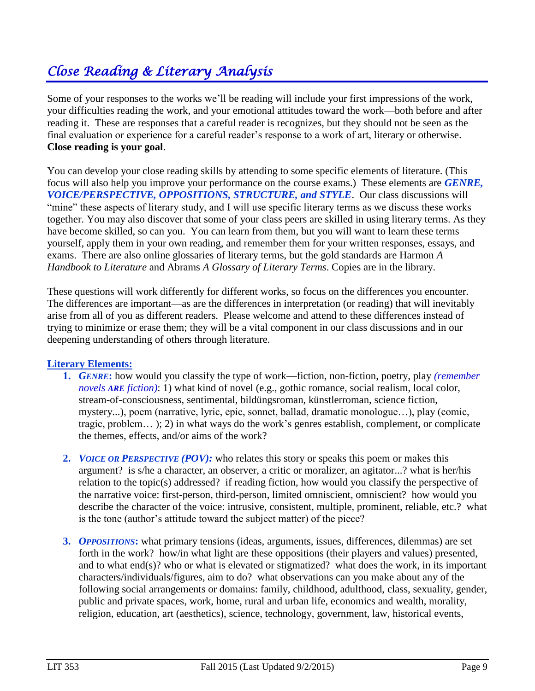# *Close Reading & Literary Analysis*

Some of your responses to the works we'll be reading will include your first impressions of the work, your difficulties reading the work, and your emotional attitudes toward the work—both before and after reading it. These are responses that a careful reader is recognizes, but they should not be seen as the final evaluation or experience for a careful reader's response to a work of art, literary or otherwise. **Close reading is your goal**.

You can develop your close reading skills by attending to some specific elements of literature. (This focus will also help you improve your performance on the course exams.) These elements are *GENRE, VOICE/PERSPECTIVE, OPPOSITIONS, STRUCTURE, and STYLE*. Our class discussions will "mine" these aspects of literary study, and I will use specific literary terms as we discuss these works together. You may also discover that some of your class peers are skilled in using literary terms. As they have become skilled, so can you. You can learn from them, but you will want to learn these terms yourself, apply them in your own reading, and remember them for your written responses, essays, and exams. There are also online glossaries of literary terms, but the gold standards are Harmon *A Handbook to Literature* and Abrams *A Glossary of Literary Terms*. Copies are in the library.

These questions will work differently for different works, so focus on the differences you encounter. The differences are important—as are the differences in interpretation (or reading) that will inevitably arise from all of you as different readers. Please welcome and attend to these differences instead of trying to minimize or erase them; they will be a vital component in our class discussions and in our deepening understanding of others through literature.

#### **Literary Elements:**

- **1.** *GENRE***:** how would you classify the type of work—fiction, non-fiction, poetry, play *(remember novels ARE fiction)*: 1) what kind of novel (e.g., gothic romance, social realism, local color, stream-of-consciousness, sentimental, bildüngsroman, künstlerroman, science fiction, mystery...), poem (narrative, lyric, epic, sonnet, ballad, dramatic monologue…), play (comic, tragic, problem… ); 2) in what ways do the work's genres establish, complement, or complicate the themes, effects, and/or aims of the work?
- **2.** *VOICE OR PERSPECTIVE (POV):* who relates this story or speaks this poem or makes this argument? is s/he a character, an observer, a critic or moralizer, an agitator...? what is her/his relation to the topic(s) addressed? if reading fiction, how would you classify the perspective of the narrative voice: first-person, third-person, limited omniscient, omniscient? how would you describe the character of the voice: intrusive, consistent, multiple, prominent, reliable, etc.? what is the tone (author's attitude toward the subject matter) of the piece?
- **3.** *OPPOSITIONS***:** what primary tensions (ideas, arguments, issues, differences, dilemmas) are set forth in the work? how/in what light are these oppositions (their players and values) presented, and to what end(s)? who or what is elevated or stigmatized? what does the work, in its important characters/individuals/figures, aim to do? what observations can you make about any of the following social arrangements or domains: family, childhood, adulthood, class, sexuality, gender, public and private spaces, work, home, rural and urban life, economics and wealth, morality, religion, education, art (aesthetics), science, technology, government, law, historical events,